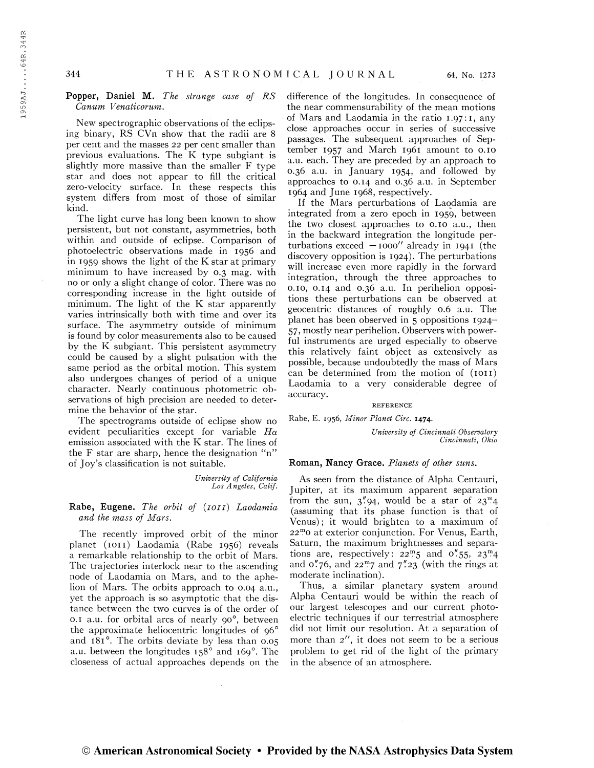## Popper, Daniel M. The strange case of RS Canum Vènaticorum.

New spectrographic observations of the eclipsing binary, RS CVn show that the radii are <sup>8</sup> per cent and the masses 22 per cent smaller than previous evaluations. The K type subgiant is slightly more massive than the smaller F type star and does not appear to fill the critical zero-velocity surface. In these respects this system differs from most of those of similar kind.

The light curve has long been known to show persistent, but not constant, asymmetries, both within and outside of eclipse. Comparison of photoelectric observations made in 1956 and in 1959 shows the light of the K star at primary minimum to have increased by 0.3 mag. with no or only a slight change of color. There was no corresponding increase in the light outside of minimum. The light of the K star apparently varies intrinsically both with time and over its surface. The asymmetry outside of minimum is found by color measurements also to be caused by the K subgiant. This persistent asymmetry could be caused by a slight pulsation with the same period as the orbital motion. This system also undergoes changes of period of a unique character. Nearly continuous photometric observations of high precision are needed to determine the behavior of the star.

The spectrograms outside of eclipse show no evident peculiarities except for variable  $H\alpha$ emission associated with the K star. The lines of the F star are sharp, hence the designation "n" of Joy's classification is not suitable.

> University of California Los Angeles, Calif.

Rabe, Eugene. The orbit of (1011) Laodamia and the mass of Mars.

The recently improved orbit of the minor planet (IOII) Laodamia (Rabe 1956) reveals a remarkable relationship to the orbit of Mars. The trajectories interlock near to the ascending node of Laodamia on Mars, and to the aphelion of Mars. The orbits approach to 0.04 a.u., yet the approach is so asymptotic that the distance between the two curves is of the order of  $0.1$  a.u. for orbital arcs of nearly  $90^\circ$ , between the approximate heliocentric longitudes of  $96^\circ$ and 181<sup>°</sup>. The orbits deviate by less than 0.05 a.u. between the longitudes  $158^\circ$  and  $169^\circ$ . The closeness of actual approaches depends on the

difference of the longitudes. In consequence of the near commensurability of the mean motions of Mars and Laodamia in the ratio 1.97:1, any close approaches occur in series of successive passages. The subsequent approaches of September 1957 and March 1961 amount to 0.10 a.u. each. They are preceded by an approach to 0.36 a.u. in January 1954, and followed by approaches to 0.14 and 0.36 a.u. in September 1964 and June 1968, respectively.

If the Mars perturbations of Laodamia are integrated from a zero epoch in 1959, between the two closest approaches to 0.10 a.u., then in the backward integration the longitude perturbations exceed  $-1000''$  already in 1941 (the discovery opposition is 1924). The perturbations will increase even more rapidly in the forward integration, through the three approaches to 0.10, 0.14 and 0.36 a.u. In perihelion oppositions these perturbations can be observed at geocentric distances of roughly 0.6 a.u. The planet has been observed in 5 oppositions 1924- 57, mostly near perihelion. Observers with powerful instruments are urged especially to observe this relatively faint object as extensively as possible, because undoubtedly the mass of Mars can be determined from the motion of  $(1011)$ Laodamia to a very considerable degree of accuracy.

#### REFERENCE

Rabe, E. 1956, Minor Planet Circ. 1474.

University of Cincinnati Observatory Cincinnati, Ohio

#### Roman, Nancy Grace. Planets of other suns.

As seen from the distance of Alpha Centauri, Jupiter, at its maximum apparent separation from the sun,  $3^{\prime\prime}$ 94, would be a star of  $23^{\rm m}4$ (assuming that its phase function is that of Venus) ; it would brighten to a maximum of <sup>22</sup><sup>m</sup> o at exterior conjunction. For Venus, Earth, Saturn, the maximum brightnesses and separations are, respectively:  $22^m 5$  and 0''55,  $23^m 4$ and  $0.76$ , and  $22<sup>m</sup>7$  and  $7<sup>n</sup>23$  (with the rings at moderate inclination).

Thus, a similar planetary system around Alpha Centauri would be within the reach of our largest telescopes and our current photoelectric techniques if our terrestrial atmosphere did not limit our resolution. At a separation of more than 2", it does not seem to be a serious problem to get rid of the light of the primary in the absence of an atmosphere.

© American Astronomical Society • Provided by the NASA Astrophysics Data System

1959AJ.....64R.344R

1959AJ....64R.344R